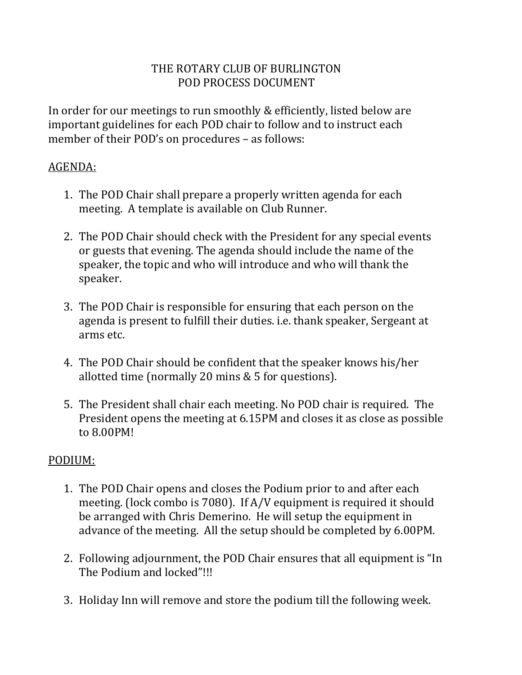## THE ROTARY CLUB OF BURLINGTON POD PROCESS DOCUMENT

In order for our meetings to run smoothly & efficiently, listed below are important guidelines for each POD chair to follow and to instruct each member of their POD's on procedures – as follows:

## AGENDA:

- 1. The POD Chair shall prepare a properly written agenda for each meeting. A template is available on Club Runner.
- 2. The POD Chair should check with the President for any special events or guests that evening. The agenda should include the name of the speaker, the topic and who will introduce and who will thank the speaker.
- 3. The POD Chair is responsible for ensuring that each person on the agenda is present to fulfill their duties. i.e. thank speaker, Sergeant at arms etc.
- 4. The POD Chair should be confident that the speaker knows his/her allotted time (normally 20 mins & 5 for questions).
- 5. The President shall chair each meeting. No POD chair is required. The President opens the meeting at 6.15PM and closes it as close as possible to 8.00PM!

## PODIUM:

- 1. The POD Chair opens and closes the Podium prior to and after each meeting. (lock combo is 7080). If A/V equipment is required it should be arranged with Chris Demerino. He will setup the equipment in advance of the meeting. All the setup should be completed by 6.00PM.
- 2. Following adjournment, the POD Chair ensures that all equipment is "In The Podium and locked"!!!
- 3. Holiday Inn will remove and store the podium till the following week.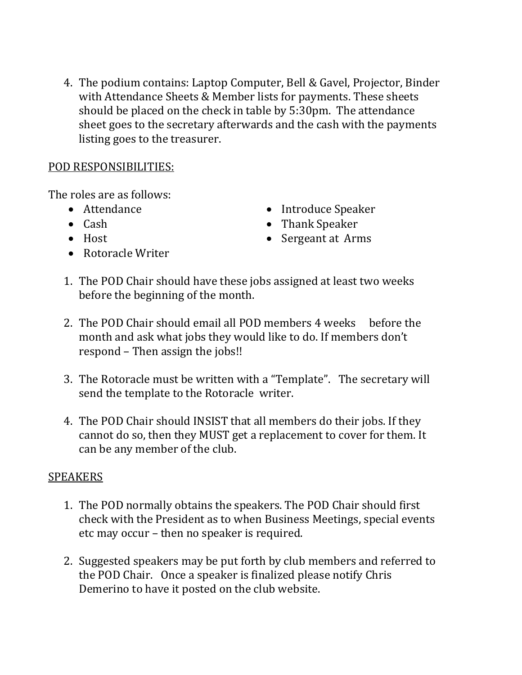4. The podium contains: Laptop Computer, Bell & Gavel, Projector, Binder with Attendance Sheets & Member lists for payments. These sheets should be placed on the check in table by 5:30pm. The attendance sheet goes to the secretary afterwards and the cash with the payments listing goes to the treasurer.

#### POD RESPONSIBILITIES:

The roles are as follows:

- Attendance
- $\bullet$  Cash
- $\bullet$  Host
- Rotoracle Writer
- Introduce Speaker
- Thank Speaker
- Sergeant at Arms
- 1. The POD Chair should have these jobs assigned at least two weeks before the beginning of the month.
- 2. The POD Chair should email all POD members 4 weeks before the month and ask what jobs they would like to do. If members don't respond – Then assign the jobs!!
- 3. The Rotoracle must be written with a "Template". The secretary will send the template to the Rotoracle writer.
- 4. The POD Chair should INSIST that all members do their jobs. If they cannot do so, then they MUST get a replacement to cover for them. It can be any member of the club.

### SPEAKERS

- 1. The POD normally obtains the speakers. The POD Chair should first check with the President as to when Business Meetings, special events etc may occur – then no speaker is required.
- 2. Suggested speakers may be put forth by club members and referred to the POD Chair. Once a speaker is finalized please notify Chris Demerino to have it posted on the club website.